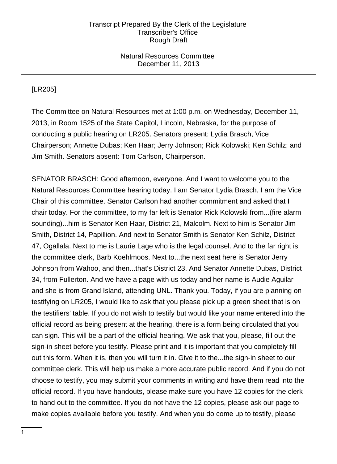## Natural Resources Committee December 11, 2013

# [LR205]

The Committee on Natural Resources met at 1:00 p.m. on Wednesday, December 11, 2013, in Room 1525 of the State Capitol, Lincoln, Nebraska, for the purpose of conducting a public hearing on LR205. Senators present: Lydia Brasch, Vice Chairperson; Annette Dubas; Ken Haar; Jerry Johnson; Rick Kolowski; Ken Schilz; and Jim Smith. Senators absent: Tom Carlson, Chairperson.

SENATOR BRASCH: Good afternoon, everyone. And I want to welcome you to the Natural Resources Committee hearing today. I am Senator Lydia Brasch, I am the Vice Chair of this committee. Senator Carlson had another commitment and asked that I chair today. For the committee, to my far left is Senator Rick Kolowski from...(fire alarm sounding)...him is Senator Ken Haar, District 21, Malcolm. Next to him is Senator Jim Smith, District 14, Papillion. And next to Senator Smith is Senator Ken Schilz, District 47, Ogallala. Next to me is Laurie Lage who is the legal counsel. And to the far right is the committee clerk, Barb Koehlmoos. Next to...the next seat here is Senator Jerry Johnson from Wahoo, and then...that's District 23. And Senator Annette Dubas, District 34, from Fullerton. And we have a page with us today and her name is Audie Aguilar and she is from Grand Island, attending UNL. Thank you. Today, if you are planning on testifying on LR205, I would like to ask that you please pick up a green sheet that is on the testifiers' table. If you do not wish to testify but would like your name entered into the official record as being present at the hearing, there is a form being circulated that you can sign. This will be a part of the official hearing. We ask that you, please, fill out the sign-in sheet before you testify. Please print and it is important that you completely fill out this form. When it is, then you will turn it in. Give it to the...the sign-in sheet to our committee clerk. This will help us make a more accurate public record. And if you do not choose to testify, you may submit your comments in writing and have them read into the official record. If you have handouts, please make sure you have 12 copies for the clerk to hand out to the committee. If you do not have the 12 copies, please ask our page to make copies available before you testify. And when you do come up to testify, please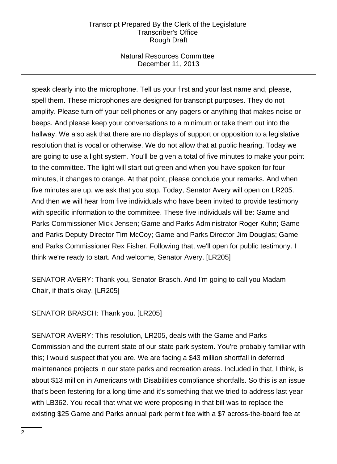## Natural Resources Committee December 11, 2013

speak clearly into the microphone. Tell us your first and your last name and, please, spell them. These microphones are designed for transcript purposes. They do not amplify. Please turn off your cell phones or any pagers or anything that makes noise or beeps. And please keep your conversations to a minimum or take them out into the hallway. We also ask that there are no displays of support or opposition to a legislative resolution that is vocal or otherwise. We do not allow that at public hearing. Today we are going to use a light system. You'll be given a total of five minutes to make your point to the committee. The light will start out green and when you have spoken for four minutes, it changes to orange. At that point, please conclude your remarks. And when five minutes are up, we ask that you stop. Today, Senator Avery will open on LR205. And then we will hear from five individuals who have been invited to provide testimony with specific information to the committee. These five individuals will be: Game and Parks Commissioner Mick Jensen; Game and Parks Administrator Roger Kuhn; Game and Parks Deputy Director Tim McCoy; Game and Parks Director Jim Douglas; Game and Parks Commissioner Rex Fisher. Following that, we'll open for public testimony. I think we're ready to start. And welcome, Senator Avery. [LR205]

SENATOR AVERY: Thank you, Senator Brasch. And I'm going to call you Madam Chair, if that's okay. [LR205]

SENATOR BRASCH: Thank you. [LR205]

SENATOR AVERY: This resolution, LR205, deals with the Game and Parks Commission and the current state of our state park system. You're probably familiar with this; I would suspect that you are. We are facing a \$43 million shortfall in deferred maintenance projects in our state parks and recreation areas. Included in that, I think, is about \$13 million in Americans with Disabilities compliance shortfalls. So this is an issue that's been festering for a long time and it's something that we tried to address last year with LB362. You recall that what we were proposing in that bill was to replace the existing \$25 Game and Parks annual park permit fee with a \$7 across-the-board fee at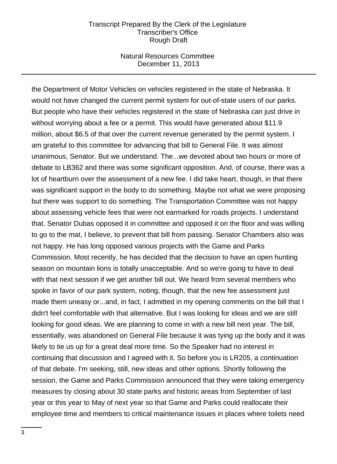### Natural Resources Committee December 11, 2013

the Department of Motor Vehicles on vehicles registered in the state of Nebraska. It would not have changed the current permit system for out-of-state users of our parks. But people who have their vehicles registered in the state of Nebraska can just drive in without worrying about a fee or a permit. This would have generated about \$11.9 million, about \$6.5 of that over the current revenue generated by the permit system. I am grateful to this committee for advancing that bill to General File. It was almost unanimous, Senator. But we understand. The...we devoted about two hours or more of debate to LB362 and there was some significant opposition. And, of course, there was a lot of heartburn over the assessment of a new fee. I did take heart, though, in that there was significant support in the body to do something. Maybe not what we were proposing but there was support to do something. The Transportation Committee was not happy about assessing vehicle fees that were not earmarked for roads projects. I understand that. Senator Dubas opposed it in committee and opposed it on the floor and was willing to go to the mat, I believe, to prevent that bill from passing. Senator Chambers also was not happy. He has long opposed various projects with the Game and Parks Commission. Most recently, he has decided that the decision to have an open hunting season on mountain lions is totally unacceptable. And so we're going to have to deal with that next session if we get another bill out. We heard from several members who spoke in favor of our park system, noting, though, that the new fee assessment just made them uneasy or...and, in fact, I admitted in my opening comments on the bill that I didn't feel comfortable with that alternative. But I was looking for ideas and we are still looking for good ideas. We are planning to come in with a new bill next year. The bill, essentially, was abandoned on General File because it was tying up the body and it was likely to tie us up for a great deal more time. So the Speaker had no interest in continuing that discussion and I agreed with it. So before you is LR205, a continuation of that debate. I'm seeking, still, new ideas and other options. Shortly following the session, the Game and Parks Commission announced that they were taking emergency measures by closing about 30 state parks and historic areas from September of last year or this year to May of next year so that Game and Parks could reallocate their employee time and members to critical maintenance issues in places where toilets need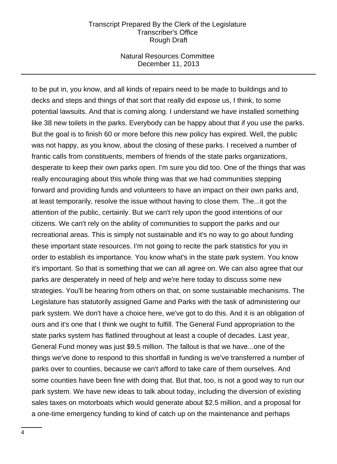### Natural Resources Committee December 11, 2013

to be put in, you know, and all kinds of repairs need to be made to buildings and to decks and steps and things of that sort that really did expose us, I think, to some potential lawsuits. And that is coming along. I understand we have installed something like 38 new toilets in the parks. Everybody can be happy about that if you use the parks. But the goal is to finish 60 or more before this new policy has expired. Well, the public was not happy, as you know, about the closing of these parks. I received a number of frantic calls from constituents, members of friends of the state parks organizations, desperate to keep their own parks open. I'm sure you did too. One of the things that was really encouraging about this whole thing was that we had communities stepping forward and providing funds and volunteers to have an impact on their own parks and, at least temporarily, resolve the issue without having to close them. The...it got the attention of the public, certainly. But we can't rely upon the good intentions of our citizens. We can't rely on the ability of communities to support the parks and our recreational areas. This is simply not sustainable and it's no way to go about funding these important state resources. I'm not going to recite the park statistics for you in order to establish its importance. You know what's in the state park system. You know it's important. So that is something that we can all agree on. We can also agree that our parks are desperately in need of help and we're here today to discuss some new strategies. You'll be hearing from others on that, on some sustainable mechanisms. The Legislature has statutorily assigned Game and Parks with the task of administering our park system. We don't have a choice here, we've got to do this. And it is an obligation of ours and it's one that I think we ought to fulfill. The General Fund appropriation to the state parks system has flatlined throughout at least a couple of decades. Last year, General Fund money was just \$9.5 million. The fallout is that we have...one of the things we've done to respond to this shortfall in funding is we've transferred a number of parks over to counties, because we can't afford to take care of them ourselves. And some counties have been fine with doing that. But that, too, is not a good way to run our park system. We have new ideas to talk about today, including the diversion of existing sales taxes on motorboats which would generate about \$2.5 million, and a proposal for a one-time emergency funding to kind of catch up on the maintenance and perhaps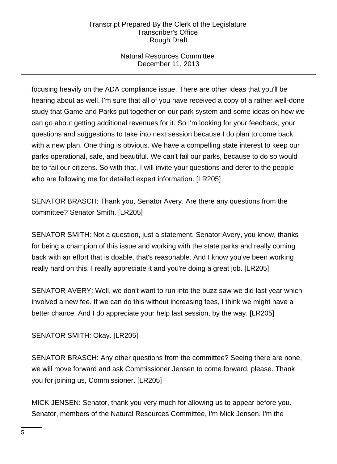# Natural Resources Committee December 11, 2013

focusing heavily on the ADA compliance issue. There are other ideas that you'll be hearing about as well. I'm sure that all of you have received a copy of a rather well-done study that Game and Parks put together on our park system and some ideas on how we can go about getting additional revenues for it. So I'm looking for your feedback, your questions and suggestions to take into next session because I do plan to come back with a new plan. One thing is obvious. We have a compelling state interest to keep our parks operational, safe, and beautiful. We can't fail our parks, because to do so would be to fail our citizens. So with that, I will invite your questions and defer to the people who are following me for detailed expert information. [LR205]

SENATOR BRASCH: Thank you, Senator Avery. Are there any questions from the committee? Senator Smith. [LR205]

SENATOR SMITH: Not a question, just a statement. Senator Avery, you know, thanks for being a champion of this issue and working with the state parks and really coming back with an effort that is doable, that's reasonable. And I know you've been working really hard on this. I really appreciate it and you're doing a great job. [LR205]

SENATOR AVERY: Well, we don't want to run into the buzz saw we did last year which involved a new fee. If we can do this without increasing fees, I think we might have a better chance. And I do appreciate your help last session, by the way. [LR205]

# SENATOR SMITH: Okay. [LR205]

SENATOR BRASCH: Any other questions from the committee? Seeing there are none, we will move forward and ask Commissioner Jensen to come forward, please. Thank you for joining us, Commissioner. [LR205]

MICK JENSEN: Senator, thank you very much for allowing us to appear before you. Senator, members of the Natural Resources Committee, I'm Mick Jensen. I'm the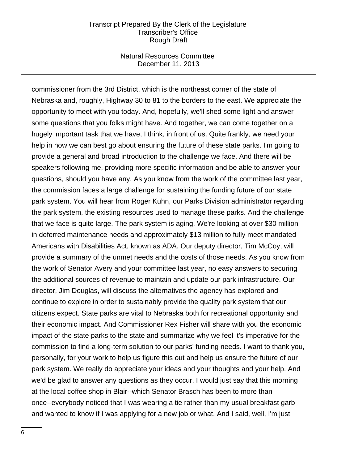#### Natural Resources Committee December 11, 2013

commissioner from the 3rd District, which is the northeast corner of the state of Nebraska and, roughly, Highway 30 to 81 to the borders to the east. We appreciate the opportunity to meet with you today. And, hopefully, we'll shed some light and answer some questions that you folks might have. And together, we can come together on a hugely important task that we have, I think, in front of us. Quite frankly, we need your help in how we can best go about ensuring the future of these state parks. I'm going to provide a general and broad introduction to the challenge we face. And there will be speakers following me, providing more specific information and be able to answer your questions, should you have any. As you know from the work of the committee last year, the commission faces a large challenge for sustaining the funding future of our state park system. You will hear from Roger Kuhn, our Parks Division administrator regarding the park system, the existing resources used to manage these parks. And the challenge that we face is quite large. The park system is aging. We're looking at over \$30 million in deferred maintenance needs and approximately \$13 million to fully meet mandated Americans with Disabilities Act, known as ADA. Our deputy director, Tim McCoy, will provide a summary of the unmet needs and the costs of those needs. As you know from the work of Senator Avery and your committee last year, no easy answers to securing the additional sources of revenue to maintain and update our park infrastructure. Our director, Jim Douglas, will discuss the alternatives the agency has explored and continue to explore in order to sustainably provide the quality park system that our citizens expect. State parks are vital to Nebraska both for recreational opportunity and their economic impact. And Commissioner Rex Fisher will share with you the economic impact of the state parks to the state and summarize why we feel it's imperative for the commission to find a long-term solution to our parks' funding needs. I want to thank you, personally, for your work to help us figure this out and help us ensure the future of our park system. We really do appreciate your ideas and your thoughts and your help. And we'd be glad to answer any questions as they occur. I would just say that this morning at the local coffee shop in Blair--which Senator Brasch has been to more than once--everybody noticed that I was wearing a tie rather than my usual breakfast garb and wanted to know if I was applying for a new job or what. And I said, well, I'm just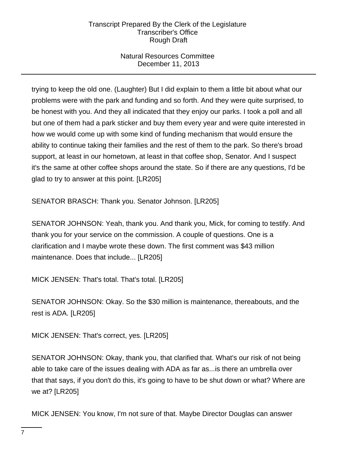# Natural Resources Committee December 11, 2013

trying to keep the old one. (Laughter) But I did explain to them a little bit about what our problems were with the park and funding and so forth. And they were quite surprised, to be honest with you. And they all indicated that they enjoy our parks. I took a poll and all but one of them had a park sticker and buy them every year and were quite interested in how we would come up with some kind of funding mechanism that would ensure the ability to continue taking their families and the rest of them to the park. So there's broad support, at least in our hometown, at least in that coffee shop, Senator. And I suspect it's the same at other coffee shops around the state. So if there are any questions, I'd be glad to try to answer at this point. [LR205]

SENATOR BRASCH: Thank you. Senator Johnson. [LR205]

SENATOR JOHNSON: Yeah, thank you. And thank you, Mick, for coming to testify. And thank you for your service on the commission. A couple of questions. One is a clarification and I maybe wrote these down. The first comment was \$43 million maintenance. Does that include... [LR205]

MICK JENSEN: That's total. That's total. [LR205]

SENATOR JOHNSON: Okay. So the \$30 million is maintenance, thereabouts, and the rest is ADA. [LR205]

MICK JENSEN: That's correct, yes. [LR205]

SENATOR JOHNSON: Okay, thank you, that clarified that. What's our risk of not being able to take care of the issues dealing with ADA as far as...is there an umbrella over that that says, if you don't do this, it's going to have to be shut down or what? Where are we at? [LR205]

MICK JENSEN: You know, I'm not sure of that. Maybe Director Douglas can answer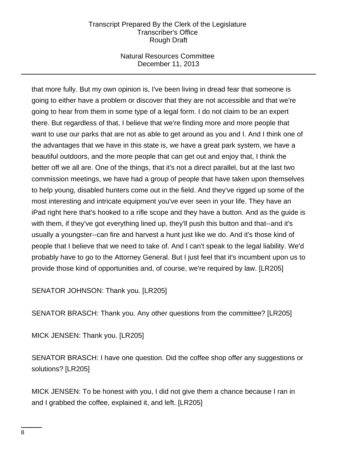## Natural Resources Committee December 11, 2013

that more fully. But my own opinion is, I've been living in dread fear that someone is going to either have a problem or discover that they are not accessible and that we're going to hear from them in some type of a legal form. I do not claim to be an expert there. But regardless of that, I believe that we're finding more and more people that want to use our parks that are not as able to get around as you and I. And I think one of the advantages that we have in this state is, we have a great park system, we have a beautiful outdoors, and the more people that can get out and enjoy that, I think the better off we all are. One of the things, that it's not a direct parallel, but at the last two commission meetings, we have had a group of people that have taken upon themselves to help young, disabled hunters come out in the field. And they've rigged up some of the most interesting and intricate equipment you've ever seen in your life. They have an iPad right here that's hooked to a rifle scope and they have a button. And as the guide is with them, if they've got everything lined up, they'll push this button and that--and it's usually a youngster--can fire and harvest a hunt just like we do. And it's those kind of people that I believe that we need to take of. And I can't speak to the legal liability. We'd probably have to go to the Attorney General. But I just feel that it's incumbent upon us to provide those kind of opportunities and, of course, we're required by law. [LR205]

SENATOR JOHNSON: Thank you. [LR205]

SENATOR BRASCH: Thank you. Any other questions from the committee? [LR205]

MICK JENSEN: Thank you. [LR205]

SENATOR BRASCH: I have one question. Did the coffee shop offer any suggestions or solutions? [LR205]

MICK JENSEN: To be honest with you, I did not give them a chance because I ran in and I grabbed the coffee, explained it, and left. [LR205]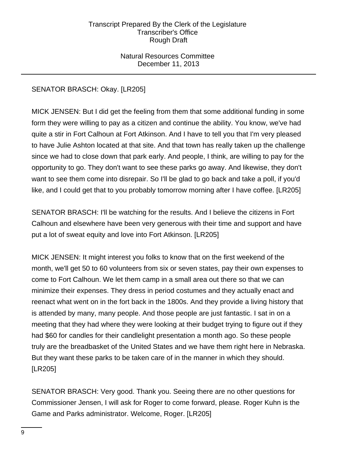Natural Resources Committee December 11, 2013

# SENATOR BRASCH: Okay. [LR205]

MICK JENSEN: But I did get the feeling from them that some additional funding in some form they were willing to pay as a citizen and continue the ability. You know, we've had quite a stir in Fort Calhoun at Fort Atkinson. And I have to tell you that I'm very pleased to have Julie Ashton located at that site. And that town has really taken up the challenge since we had to close down that park early. And people, I think, are willing to pay for the opportunity to go. They don't want to see these parks go away. And likewise, they don't want to see them come into disrepair. So I'll be glad to go back and take a poll, if you'd like, and I could get that to you probably tomorrow morning after I have coffee. [LR205]

SENATOR BRASCH: I'll be watching for the results. And I believe the citizens in Fort Calhoun and elsewhere have been very generous with their time and support and have put a lot of sweat equity and love into Fort Atkinson. [LR205]

MICK JENSEN: It might interest you folks to know that on the first weekend of the month, we'll get 50 to 60 volunteers from six or seven states, pay their own expenses to come to Fort Calhoun. We let them camp in a small area out there so that we can minimize their expenses. They dress in period costumes and they actually enact and reenact what went on in the fort back in the 1800s. And they provide a living history that is attended by many, many people. And those people are just fantastic. I sat in on a meeting that they had where they were looking at their budget trying to figure out if they had \$60 for candles for their candlelight presentation a month ago. So these people truly are the breadbasket of the United States and we have them right here in Nebraska. But they want these parks to be taken care of in the manner in which they should. [LR205]

SENATOR BRASCH: Very good. Thank you. Seeing there are no other questions for Commissioner Jensen, I will ask for Roger to come forward, please. Roger Kuhn is the Game and Parks administrator. Welcome, Roger. [LR205]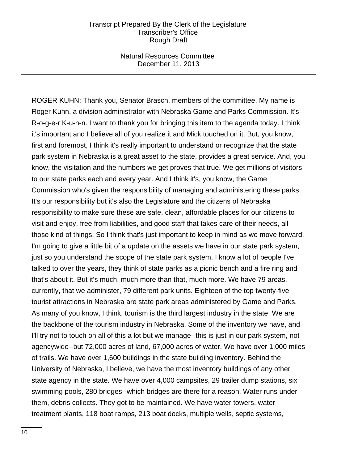Natural Resources Committee December 11, 2013

ROGER KUHN: Thank you, Senator Brasch, members of the committee. My name is Roger Kuhn, a division administrator with Nebraska Game and Parks Commission. It's R-o-g-e-r K-u-h-n. I want to thank you for bringing this item to the agenda today. I think it's important and I believe all of you realize it and Mick touched on it. But, you know, first and foremost, I think it's really important to understand or recognize that the state park system in Nebraska is a great asset to the state, provides a great service. And, you know, the visitation and the numbers we get proves that true. We get millions of visitors to our state parks each and every year. And I think it's, you know, the Game Commission who's given the responsibility of managing and administering these parks. It's our responsibility but it's also the Legislature and the citizens of Nebraska responsibility to make sure these are safe, clean, affordable places for our citizens to visit and enjoy, free from liabilities, and good staff that takes care of their needs, all those kind of things. So I think that's just important to keep in mind as we move forward. I'm going to give a little bit of a update on the assets we have in our state park system, just so you understand the scope of the state park system. I know a lot of people I've talked to over the years, they think of state parks as a picnic bench and a fire ring and that's about it. But it's much, much more than that, much more. We have 79 areas, currently, that we administer, 79 different park units. Eighteen of the top twenty-five tourist attractions in Nebraska are state park areas administered by Game and Parks. As many of you know, I think, tourism is the third largest industry in the state. We are the backbone of the tourism industry in Nebraska. Some of the inventory we have, and I'll try not to touch on all of this a lot but we manage--this is just in our park system, not agencywide--but 72,000 acres of land, 67,000 acres of water. We have over 1,000 miles of trails. We have over 1,600 buildings in the state building inventory. Behind the University of Nebraska, I believe, we have the most inventory buildings of any other state agency in the state. We have over 4,000 campsites, 29 trailer dump stations, six swimming pools, 280 bridges--which bridges are there for a reason. Water runs under them, debris collects. They got to be maintained. We have water towers, water treatment plants, 118 boat ramps, 213 boat docks, multiple wells, septic systems,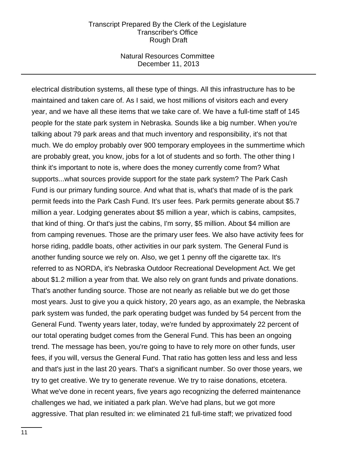### Natural Resources Committee December 11, 2013

electrical distribution systems, all these type of things. All this infrastructure has to be maintained and taken care of. As I said, we host millions of visitors each and every year, and we have all these items that we take care of. We have a full-time staff of 145 people for the state park system in Nebraska. Sounds like a big number. When you're talking about 79 park areas and that much inventory and responsibility, it's not that much. We do employ probably over 900 temporary employees in the summertime which are probably great, you know, jobs for a lot of students and so forth. The other thing I think it's important to note is, where does the money currently come from? What supports...what sources provide support for the state park system? The Park Cash Fund is our primary funding source. And what that is, what's that made of is the park permit feeds into the Park Cash Fund. It's user fees. Park permits generate about \$5.7 million a year. Lodging generates about \$5 million a year, which is cabins, campsites, that kind of thing. Or that's just the cabins, I'm sorry, \$5 million. About \$4 million are from camping revenues. Those are the primary user fees. We also have activity fees for horse riding, paddle boats, other activities in our park system. The General Fund is another funding source we rely on. Also, we get 1 penny off the cigarette tax. It's referred to as NORDA, it's Nebraska Outdoor Recreational Development Act. We get about \$1.2 million a year from that. We also rely on grant funds and private donations. That's another funding source. Those are not nearly as reliable but we do get those most years. Just to give you a quick history, 20 years ago, as an example, the Nebraska park system was funded, the park operating budget was funded by 54 percent from the General Fund. Twenty years later, today, we're funded by approximately 22 percent of our total operating budget comes from the General Fund. This has been an ongoing trend. The message has been, you're going to have to rely more on other funds, user fees, if you will, versus the General Fund. That ratio has gotten less and less and less and that's just in the last 20 years. That's a significant number. So over those years, we try to get creative. We try to generate revenue. We try to raise donations, etcetera. What we've done in recent years, five years ago recognizing the deferred maintenance challenges we had, we initiated a park plan. We've had plans, but we got more aggressive. That plan resulted in: we eliminated 21 full-time staff; we privatized food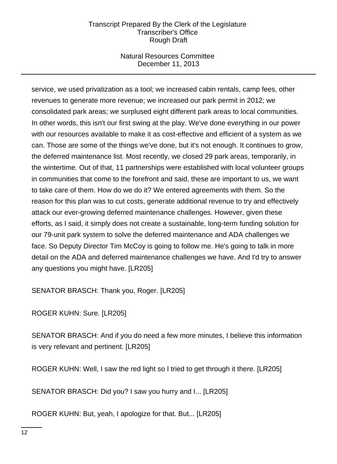## Natural Resources Committee December 11, 2013

service, we used privatization as a tool; we increased cabin rentals, camp fees, other revenues to generate more revenue; we increased our park permit in 2012; we consolidated park areas; we surplused eight different park areas to local communities. In other words, this isn't our first swing at the play. We've done everything in our power with our resources available to make it as cost-effective and efficient of a system as we can. Those are some of the things we've done, but it's not enough. It continues to grow, the deferred maintenance list. Most recently, we closed 29 park areas, temporarily, in the wintertime. Out of that, 11 partnerships were established with local volunteer groups in communities that come to the forefront and said, these are important to us, we want to take care of them. How do we do it? We entered agreements with them. So the reason for this plan was to cut costs, generate additional revenue to try and effectively attack our ever-growing deferred maintenance challenges. However, given these efforts, as I said, it simply does not create a sustainable, long-term funding solution for our 79-unit park system to solve the deferred maintenance and ADA challenges we face. So Deputy Director Tim McCoy is going to follow me. He's going to talk in more detail on the ADA and deferred maintenance challenges we have. And I'd try to answer any questions you might have. [LR205]

SENATOR BRASCH: Thank you, Roger. [LR205]

ROGER KUHN: Sure. [LR205]

SENATOR BRASCH: And if you do need a few more minutes, I believe this information is very relevant and pertinent. [LR205]

ROGER KUHN: Well, I saw the red light so I tried to get through it there. [LR205]

SENATOR BRASCH: Did you? I saw you hurry and I... [LR205]

ROGER KUHN: But, yeah, I apologize for that. But... [LR205]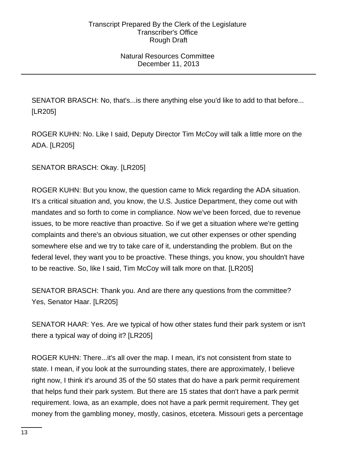## Natural Resources Committee December 11, 2013

SENATOR BRASCH: No, that's...is there anything else you'd like to add to that before... [LR205]

ROGER KUHN: No. Like I said, Deputy Director Tim McCoy will talk a little more on the ADA. [LR205]

SENATOR BRASCH: Okay. [LR205]

ROGER KUHN: But you know, the question came to Mick regarding the ADA situation. It's a critical situation and, you know, the U.S. Justice Department, they come out with mandates and so forth to come in compliance. Now we've been forced, due to revenue issues, to be more reactive than proactive. So if we get a situation where we're getting complaints and there's an obvious situation, we cut other expenses or other spending somewhere else and we try to take care of it, understanding the problem. But on the federal level, they want you to be proactive. These things, you know, you shouldn't have to be reactive. So, like I said, Tim McCoy will talk more on that. [LR205]

SENATOR BRASCH: Thank you. And are there any questions from the committee? Yes, Senator Haar. [LR205]

SENATOR HAAR: Yes. Are we typical of how other states fund their park system or isn't there a typical way of doing it? [LR205]

ROGER KUHN: There...it's all over the map. I mean, it's not consistent from state to state. I mean, if you look at the surrounding states, there are approximately, I believe right now, I think it's around 35 of the 50 states that do have a park permit requirement that helps fund their park system. But there are 15 states that don't have a park permit requirement. Iowa, as an example, does not have a park permit requirement. They get money from the gambling money, mostly, casinos, etcetera. Missouri gets a percentage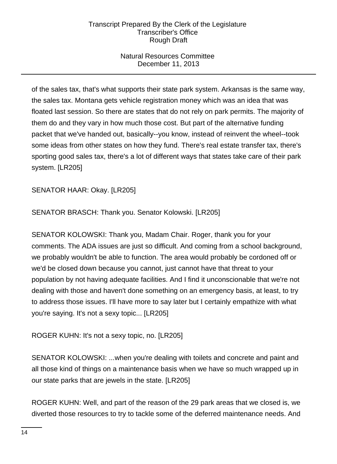# Natural Resources Committee December 11, 2013

of the sales tax, that's what supports their state park system. Arkansas is the same way, the sales tax. Montana gets vehicle registration money which was an idea that was floated last session. So there are states that do not rely on park permits. The majority of them do and they vary in how much those cost. But part of the alternative funding packet that we've handed out, basically--you know, instead of reinvent the wheel--took some ideas from other states on how they fund. There's real estate transfer tax, there's sporting good sales tax, there's a lot of different ways that states take care of their park system. [LR205]

SENATOR HAAR: Okay. [LR205]

SENATOR BRASCH: Thank you. Senator Kolowski. [LR205]

SENATOR KOLOWSKI: Thank you, Madam Chair. Roger, thank you for your comments. The ADA issues are just so difficult. And coming from a school background, we probably wouldn't be able to function. The area would probably be cordoned off or we'd be closed down because you cannot, just cannot have that threat to your population by not having adequate facilities. And I find it unconscionable that we're not dealing with those and haven't done something on an emergency basis, at least, to try to address those issues. I'll have more to say later but I certainly empathize with what you're saying. It's not a sexy topic... [LR205]

ROGER KUHN: It's not a sexy topic, no. [LR205]

SENATOR KOLOWSKI: ...when you're dealing with toilets and concrete and paint and all those kind of things on a maintenance basis when we have so much wrapped up in our state parks that are jewels in the state. [LR205]

ROGER KUHN: Well, and part of the reason of the 29 park areas that we closed is, we diverted those resources to try to tackle some of the deferred maintenance needs. And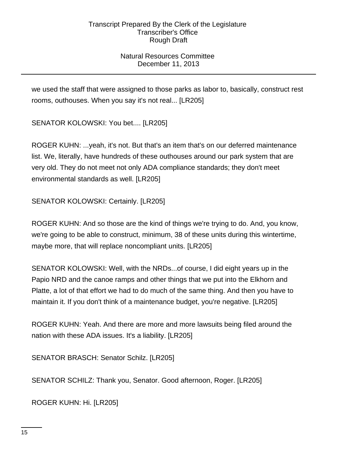# Natural Resources Committee December 11, 2013

we used the staff that were assigned to those parks as labor to, basically, construct rest rooms, outhouses. When you say it's not real... [LR205]

SENATOR KOLOWSKI: You bet.... [LR205]

ROGER KUHN: ...yeah, it's not. But that's an item that's on our deferred maintenance list. We, literally, have hundreds of these outhouses around our park system that are very old. They do not meet not only ADA compliance standards; they don't meet environmental standards as well. [LR205]

SENATOR KOLOWSKI: Certainly. [LR205]

ROGER KUHN: And so those are the kind of things we're trying to do. And, you know, we're going to be able to construct, minimum, 38 of these units during this wintertime, maybe more, that will replace noncompliant units. [LR205]

SENATOR KOLOWSKI: Well, with the NRDs...of course, I did eight years up in the Papio NRD and the canoe ramps and other things that we put into the Elkhorn and Platte, a lot of that effort we had to do much of the same thing. And then you have to maintain it. If you don't think of a maintenance budget, you're negative. [LR205]

ROGER KUHN: Yeah. And there are more and more lawsuits being filed around the nation with these ADA issues. It's a liability. [LR205]

SENATOR BRASCH: Senator Schilz. [LR205]

SENATOR SCHILZ: Thank you, Senator. Good afternoon, Roger. [LR205]

ROGER KUHN: Hi. [LR205]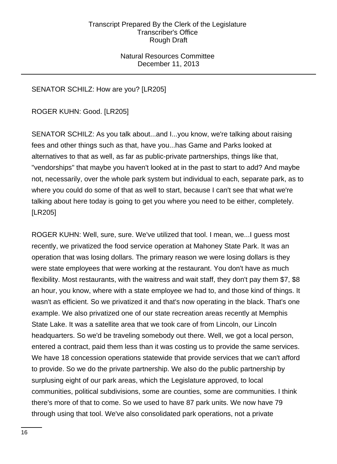## Natural Resources Committee December 11, 2013

# SENATOR SCHILZ: How are you? [LR205]

ROGER KUHN: Good. [LR205]

SENATOR SCHILZ: As you talk about...and I...you know, we're talking about raising fees and other things such as that, have you...has Game and Parks looked at alternatives to that as well, as far as public-private partnerships, things like that, "vendorships" that maybe you haven't looked at in the past to start to add? And maybe not, necessarily, over the whole park system but individual to each, separate park, as to where you could do some of that as well to start, because I can't see that what we're talking about here today is going to get you where you need to be either, completely. [LR205]

ROGER KUHN: Well, sure, sure. We've utilized that tool. I mean, we...I guess most recently, we privatized the food service operation at Mahoney State Park. It was an operation that was losing dollars. The primary reason we were losing dollars is they were state employees that were working at the restaurant. You don't have as much flexibility. Most restaurants, with the waitress and wait staff, they don't pay them \$7, \$8 an hour, you know, where with a state employee we had to, and those kind of things. It wasn't as efficient. So we privatized it and that's now operating in the black. That's one example. We also privatized one of our state recreation areas recently at Memphis State Lake. It was a satellite area that we took care of from Lincoln, our Lincoln headquarters. So we'd be traveling somebody out there. Well, we got a local person, entered a contract, paid them less than it was costing us to provide the same services. We have 18 concession operations statewide that provide services that we can't afford to provide. So we do the private partnership. We also do the public partnership by surplusing eight of our park areas, which the Legislature approved, to local communities, political subdivisions, some are counties, some are communities. I think there's more of that to come. So we used to have 87 park units. We now have 79 through using that tool. We've also consolidated park operations, not a private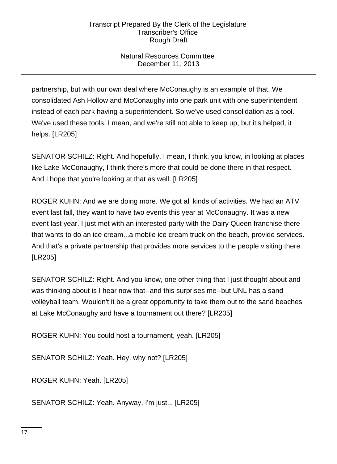# Natural Resources Committee December 11, 2013

partnership, but with our own deal where McConaughy is an example of that. We consolidated Ash Hollow and McConaughy into one park unit with one superintendent instead of each park having a superintendent. So we've used consolidation as a tool. We've used these tools, I mean, and we're still not able to keep up, but it's helped, it helps. [LR205]

SENATOR SCHILZ: Right. And hopefully, I mean, I think, you know, in looking at places like Lake McConaughy, I think there's more that could be done there in that respect. And I hope that you're looking at that as well. [LR205]

ROGER KUHN: And we are doing more. We got all kinds of activities. We had an ATV event last fall, they want to have two events this year at McConaughy. It was a new event last year. I just met with an interested party with the Dairy Queen franchise there that wants to do an ice cream...a mobile ice cream truck on the beach, provide services. And that's a private partnership that provides more services to the people visiting there. [LR205]

SENATOR SCHILZ: Right. And you know, one other thing that I just thought about and was thinking about is I hear now that--and this surprises me--but UNL has a sand volleyball team. Wouldn't it be a great opportunity to take them out to the sand beaches at Lake McConaughy and have a tournament out there? [LR205]

ROGER KUHN: You could host a tournament, yeah. [LR205]

SENATOR SCHILZ: Yeah. Hey, why not? [LR205]

ROGER KUHN: Yeah. [LR205]

SENATOR SCHILZ: Yeah. Anyway, I'm just... [LR205]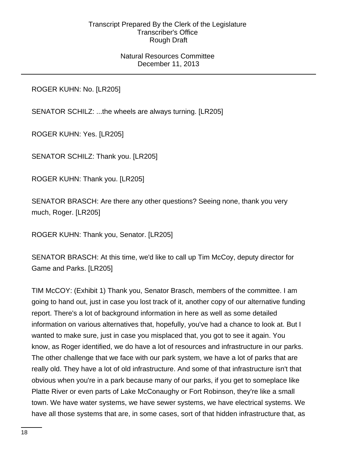## Natural Resources Committee December 11, 2013

ROGER KUHN: No. [LR205]

SENATOR SCHILZ: ...the wheels are always turning. [LR205]

ROGER KUHN: Yes. [LR205]

SENATOR SCHILZ: Thank you. [LR205]

ROGER KUHN: Thank you. [LR205]

SENATOR BRASCH: Are there any other questions? Seeing none, thank you very much, Roger. [LR205]

ROGER KUHN: Thank you, Senator. [LR205]

SENATOR BRASCH: At this time, we'd like to call up Tim McCoy, deputy director for Game and Parks. [LR205]

TIM McCOY: (Exhibit 1) Thank you, Senator Brasch, members of the committee. I am going to hand out, just in case you lost track of it, another copy of our alternative funding report. There's a lot of background information in here as well as some detailed information on various alternatives that, hopefully, you've had a chance to look at. But I wanted to make sure, just in case you misplaced that, you got to see it again. You know, as Roger identified, we do have a lot of resources and infrastructure in our parks. The other challenge that we face with our park system, we have a lot of parks that are really old. They have a lot of old infrastructure. And some of that infrastructure isn't that obvious when you're in a park because many of our parks, if you get to someplace like Platte River or even parts of Lake McConaughy or Fort Robinson, they're like a small town. We have water systems, we have sewer systems, we have electrical systems. We have all those systems that are, in some cases, sort of that hidden infrastructure that, as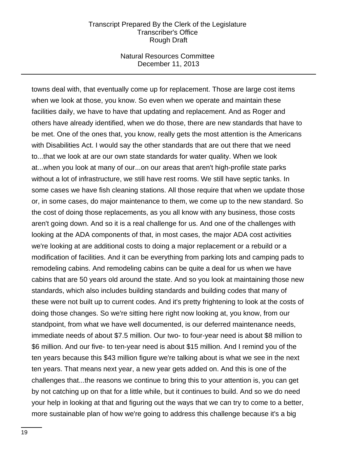### Natural Resources Committee December 11, 2013

towns deal with, that eventually come up for replacement. Those are large cost items when we look at those, you know. So even when we operate and maintain these facilities daily, we have to have that updating and replacement. And as Roger and others have already identified, when we do those, there are new standards that have to be met. One of the ones that, you know, really gets the most attention is the Americans with Disabilities Act. I would say the other standards that are out there that we need to...that we look at are our own state standards for water quality. When we look at...when you look at many of our...on our areas that aren't high-profile state parks without a lot of infrastructure, we still have rest rooms. We still have septic tanks. In some cases we have fish cleaning stations. All those require that when we update those or, in some cases, do major maintenance to them, we come up to the new standard. So the cost of doing those replacements, as you all know with any business, those costs aren't going down. And so it is a real challenge for us. And one of the challenges with looking at the ADA components of that, in most cases, the major ADA cost activities we're looking at are additional costs to doing a major replacement or a rebuild or a modification of facilities. And it can be everything from parking lots and camping pads to remodeling cabins. And remodeling cabins can be quite a deal for us when we have cabins that are 50 years old around the state. And so you look at maintaining those new standards, which also includes building standards and building codes that many of these were not built up to current codes. And it's pretty frightening to look at the costs of doing those changes. So we're sitting here right now looking at, you know, from our standpoint, from what we have well documented, is our deferred maintenance needs, immediate needs of about \$7.5 million. Our two- to four-year need is about \$8 million to \$6 million. And our five- to ten-year need is about \$15 million. And I remind you of the ten years because this \$43 million figure we're talking about is what we see in the next ten years. That means next year, a new year gets added on. And this is one of the challenges that...the reasons we continue to bring this to your attention is, you can get by not catching up on that for a little while, but it continues to build. And so we do need your help in looking at that and figuring out the ways that we can try to come to a better, more sustainable plan of how we're going to address this challenge because it's a big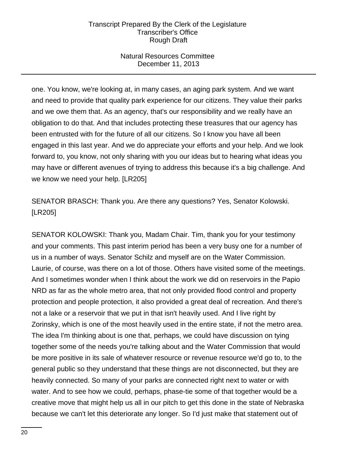## Natural Resources Committee December 11, 2013

one. You know, we're looking at, in many cases, an aging park system. And we want and need to provide that quality park experience for our citizens. They value their parks and we owe them that. As an agency, that's our responsibility and we really have an obligation to do that. And that includes protecting these treasures that our agency has been entrusted with for the future of all our citizens. So I know you have all been engaged in this last year. And we do appreciate your efforts and your help. And we look forward to, you know, not only sharing with you our ideas but to hearing what ideas you may have or different avenues of trying to address this because it's a big challenge. And we know we need your help. [LR205]

SENATOR BRASCH: Thank you. Are there any questions? Yes, Senator Kolowski. [LR205]

SENATOR KOLOWSKI: Thank you, Madam Chair. Tim, thank you for your testimony and your comments. This past interim period has been a very busy one for a number of us in a number of ways. Senator Schilz and myself are on the Water Commission. Laurie, of course, was there on a lot of those. Others have visited some of the meetings. And I sometimes wonder when I think about the work we did on reservoirs in the Papio NRD as far as the whole metro area, that not only provided flood control and property protection and people protection, it also provided a great deal of recreation. And there's not a lake or a reservoir that we put in that isn't heavily used. And I live right by Zorinsky, which is one of the most heavily used in the entire state, if not the metro area. The idea I'm thinking about is one that, perhaps, we could have discussion on tying together some of the needs you're talking about and the Water Commission that would be more positive in its sale of whatever resource or revenue resource we'd go to, to the general public so they understand that these things are not disconnected, but they are heavily connected. So many of your parks are connected right next to water or with water. And to see how we could, perhaps, phase-tie some of that together would be a creative move that might help us all in our pitch to get this done in the state of Nebraska because we can't let this deteriorate any longer. So I'd just make that statement out of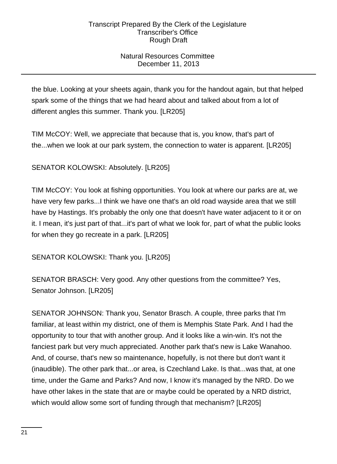# Natural Resources Committee December 11, 2013

the blue. Looking at your sheets again, thank you for the handout again, but that helped spark some of the things that we had heard about and talked about from a lot of different angles this summer. Thank you. [LR205]

TIM McCOY: Well, we appreciate that because that is, you know, that's part of the...when we look at our park system, the connection to water is apparent. [LR205]

SENATOR KOLOWSKI: Absolutely. [LR205]

TIM McCOY: You look at fishing opportunities. You look at where our parks are at, we have very few parks...I think we have one that's an old road wayside area that we still have by Hastings. It's probably the only one that doesn't have water adjacent to it or on it. I mean, it's just part of that...it's part of what we look for, part of what the public looks for when they go recreate in a park. [LR205]

SENATOR KOLOWSKI: Thank you. [LR205]

SENATOR BRASCH: Very good. Any other questions from the committee? Yes, Senator Johnson. [LR205]

SENATOR JOHNSON: Thank you, Senator Brasch. A couple, three parks that I'm familiar, at least within my district, one of them is Memphis State Park. And I had the opportunity to tour that with another group. And it looks like a win-win. It's not the fanciest park but very much appreciated. Another park that's new is Lake Wanahoo. And, of course, that's new so maintenance, hopefully, is not there but don't want it (inaudible). The other park that...or area, is Czechland Lake. Is that...was that, at one time, under the Game and Parks? And now, I know it's managed by the NRD. Do we have other lakes in the state that are or maybe could be operated by a NRD district, which would allow some sort of funding through that mechanism? [LR205]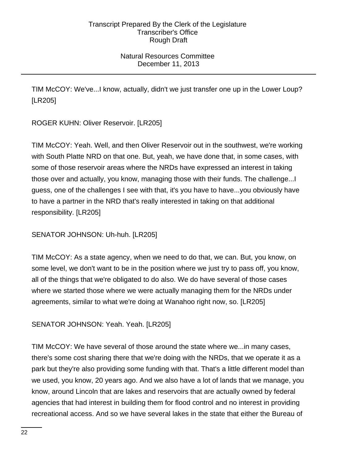# Natural Resources Committee December 11, 2013

TIM McCOY: We've...I know, actually, didn't we just transfer one up in the Lower Loup? [LR205]

ROGER KUHN: Oliver Reservoir. [LR205]

TIM McCOY: Yeah. Well, and then Oliver Reservoir out in the southwest, we're working with South Platte NRD on that one. But, yeah, we have done that, in some cases, with some of those reservoir areas where the NRDs have expressed an interest in taking those over and actually, you know, managing those with their funds. The challenge...I guess, one of the challenges I see with that, it's you have to have...you obviously have to have a partner in the NRD that's really interested in taking on that additional responsibility. [LR205]

SENATOR JOHNSON: Uh-huh. [LR205]

TIM McCOY: As a state agency, when we need to do that, we can. But, you know, on some level, we don't want to be in the position where we just try to pass off, you know, all of the things that we're obligated to do also. We do have several of those cases where we started those where we were actually managing them for the NRDs under agreements, similar to what we're doing at Wanahoo right now, so. [LR205]

SENATOR JOHNSON: Yeah. Yeah. [LR205]

TIM McCOY: We have several of those around the state where we...in many cases, there's some cost sharing there that we're doing with the NRDs, that we operate it as a park but they're also providing some funding with that. That's a little different model than we used, you know, 20 years ago. And we also have a lot of lands that we manage, you know, around Lincoln that are lakes and reservoirs that are actually owned by federal agencies that had interest in building them for flood control and no interest in providing recreational access. And so we have several lakes in the state that either the Bureau of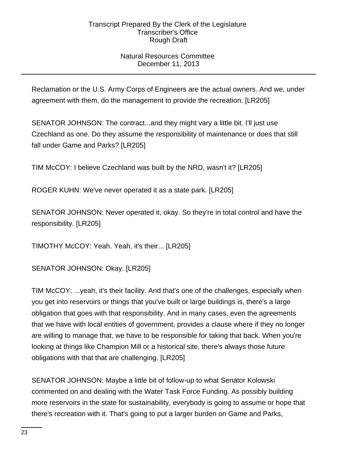# Natural Resources Committee December 11, 2013

Reclamation or the U.S. Army Corps of Engineers are the actual owners. And we, under agreement with them, do the management to provide the recreation. [LR205]

SENATOR JOHNSON: The contract...and they might vary a little bit. I'll just use Czechland as one. Do they assume the responsibility of maintenance or does that still fall under Game and Parks? [LR205]

TIM McCOY: I believe Czechland was built by the NRD, wasn't it? [LR205]

ROGER KUHN: We've never operated it as a state park. [LR205]

SENATOR JOHNSON: Never operated it, okay. So they're in total control and have the responsibility. [LR205]

TIMOTHY McCOY: Yeah. Yeah, it's their... [LR205]

SENATOR JOHNSON: Okay. [LR205]

TIM McCOY: ...yeah, it's their facility. And that's one of the challenges, especially when you get into reservoirs or things that you've built or large buildings is, there's a large obligation that goes with that responsibility. And in many cases, even the agreements that we have with local entities of government, provides a clause where if they no longer are willing to manage that, we have to be responsible for taking that back. When you're looking at things like Champion Mill or a historical site, there's always those future obligations with that that are challenging. [LR205]

SENATOR JOHNSON: Maybe a little bit of follow-up to what Senator Kolowski commented on and dealing with the Water Task Force Funding. As possibly building more reservoirs in the state for sustainability, everybody is going to assume or hope that there's recreation with it. That's going to put a larger burden on Game and Parks,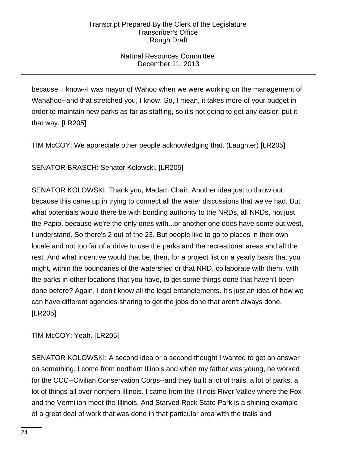# Natural Resources Committee December 11, 2013

because, I know--I was mayor of Wahoo when we were working on the management of Wanahoo--and that stretched you, I know. So, I mean, it takes more of your budget in order to maintain new parks as far as staffing, so it's not going to get any easier, put it that way. [LR205]

TIM McCOY: We appreciate other people acknowledging that. (Laughter) [LR205]

SENATOR BRASCH: Senator Kolowski. [LR205]

SENATOR KOLOWSKI: Thank you, Madam Chair. Another idea just to throw out because this came up in trying to connect all the water discussions that we've had. But what potentials would there be with bonding authority to the NRDs, all NRDs, not just the Papio, because we're the only ones with...or another one does have some out west, I understand. So there's 2 out of the 23. But people like to go to places in their own locale and not too far of a drive to use the parks and the recreational areas and all the rest. And what incentive would that be, then, for a project list on a yearly basis that you might, within the boundaries of the watershed or that NRD, collaborate with them, with the parks in other locations that you have, to get some things done that haven't been done before? Again, I don't know all the legal entanglements. It's just an idea of how we can have different agencies sharing to get the jobs done that aren't always done. [LR205]

TIM McCOY: Yeah. [LR205]

SENATOR KOLOWSKI: A second idea or a second thought I wanted to get an answer on something. I come from northern Illinois and when my father was young, he worked for the CCC--Civilian Conservation Corps--and they built a lot of trails, a lot of parks, a lot of things all over northern Illinois. I came from the Illinois River Valley where the Fox and the Vermilion meet the Illinois. And Starved Rock State Park is a shining example of a great deal of work that was done in that particular area with the trails and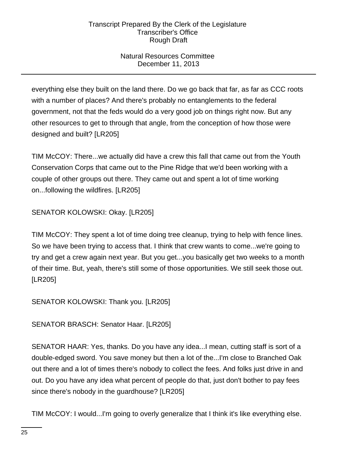# Natural Resources Committee December 11, 2013

everything else they built on the land there. Do we go back that far, as far as CCC roots with a number of places? And there's probably no entanglements to the federal government, not that the feds would do a very good job on things right now. But any other resources to get to through that angle, from the conception of how those were designed and built? [LR205]

TIM McCOY: There...we actually did have a crew this fall that came out from the Youth Conservation Corps that came out to the Pine Ridge that we'd been working with a couple of other groups out there. They came out and spent a lot of time working on...following the wildfires. [LR205]

SENATOR KOLOWSKI: Okay. [LR205]

TIM McCOY: They spent a lot of time doing tree cleanup, trying to help with fence lines. So we have been trying to access that. I think that crew wants to come...we're going to try and get a crew again next year. But you get...you basically get two weeks to a month of their time. But, yeah, there's still some of those opportunities. We still seek those out. [LR205]

SENATOR KOLOWSKI: Thank you. [LR205]

SENATOR BRASCH: Senator Haar. [LR205]

SENATOR HAAR: Yes, thanks. Do you have any idea...I mean, cutting staff is sort of a double-edged sword. You save money but then a lot of the...I'm close to Branched Oak out there and a lot of times there's nobody to collect the fees. And folks just drive in and out. Do you have any idea what percent of people do that, just don't bother to pay fees since there's nobody in the guardhouse? [LR205]

TIM McCOY: I would...I'm going to overly generalize that I think it's like everything else.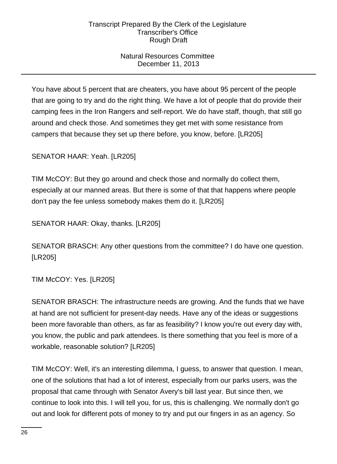# Natural Resources Committee December 11, 2013

You have about 5 percent that are cheaters, you have about 95 percent of the people that are going to try and do the right thing. We have a lot of people that do provide their camping fees in the Iron Rangers and self-report. We do have staff, though, that still go around and check those. And sometimes they get met with some resistance from campers that because they set up there before, you know, before. [LR205]

SENATOR HAAR: Yeah. [LR205]

TIM McCOY: But they go around and check those and normally do collect them, especially at our manned areas. But there is some of that that happens where people don't pay the fee unless somebody makes them do it. [LR205]

SENATOR HAAR: Okay, thanks. [LR205]

SENATOR BRASCH: Any other questions from the committee? I do have one question. [LR205]

TIM McCOY: Yes. [LR205]

SENATOR BRASCH: The infrastructure needs are growing. And the funds that we have at hand are not sufficient for present-day needs. Have any of the ideas or suggestions been more favorable than others, as far as feasibility? I know you're out every day with, you know, the public and park attendees. Is there something that you feel is more of a workable, reasonable solution? [LR205]

TIM McCOY: Well, it's an interesting dilemma, I guess, to answer that question. I mean, one of the solutions that had a lot of interest, especially from our parks users, was the proposal that came through with Senator Avery's bill last year. But since then, we continue to look into this. I will tell you, for us, this is challenging. We normally don't go out and look for different pots of money to try and put our fingers in as an agency. So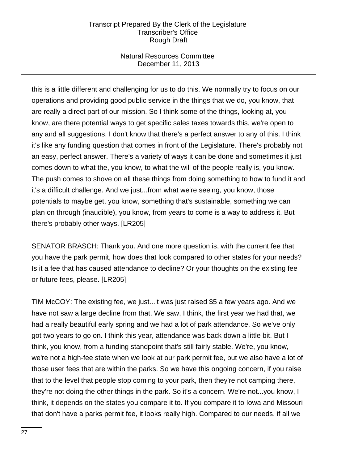## Natural Resources Committee December 11, 2013

this is a little different and challenging for us to do this. We normally try to focus on our operations and providing good public service in the things that we do, you know, that are really a direct part of our mission. So I think some of the things, looking at, you know, are there potential ways to get specific sales taxes towards this, we're open to any and all suggestions. I don't know that there's a perfect answer to any of this. I think it's like any funding question that comes in front of the Legislature. There's probably not an easy, perfect answer. There's a variety of ways it can be done and sometimes it just comes down to what the, you know, to what the will of the people really is, you know. The push comes to shove on all these things from doing something to how to fund it and it's a difficult challenge. And we just...from what we're seeing, you know, those potentials to maybe get, you know, something that's sustainable, something we can plan on through (inaudible), you know, from years to come is a way to address it. But there's probably other ways. [LR205]

SENATOR BRASCH: Thank you. And one more question is, with the current fee that you have the park permit, how does that look compared to other states for your needs? Is it a fee that has caused attendance to decline? Or your thoughts on the existing fee or future fees, please. [LR205]

TIM McCOY: The existing fee, we just...it was just raised \$5 a few years ago. And we have not saw a large decline from that. We saw, I think, the first year we had that, we had a really beautiful early spring and we had a lot of park attendance. So we've only got two years to go on. I think this year, attendance was back down a little bit. But I think, you know, from a funding standpoint that's still fairly stable. We're, you know, we're not a high-fee state when we look at our park permit fee, but we also have a lot of those user fees that are within the parks. So we have this ongoing concern, if you raise that to the level that people stop coming to your park, then they're not camping there, they're not doing the other things in the park. So it's a concern. We're not...you know, I think, it depends on the states you compare it to. If you compare it to Iowa and Missouri that don't have a parks permit fee, it looks really high. Compared to our needs, if all we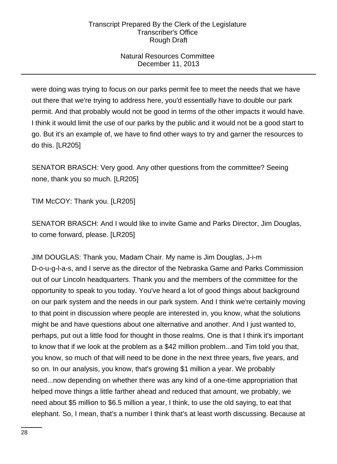# Natural Resources Committee December 11, 2013

were doing was trying to focus on our parks permit fee to meet the needs that we have out there that we're trying to address here, you'd essentially have to double our park permit. And that probably would not be good in terms of the other impacts it would have. I think it would limit the use of our parks by the public and it would not be a good start to go. But it's an example of, we have to find other ways to try and garner the resources to do this. [LR205]

SENATOR BRASCH: Very good. Any other questions from the committee? Seeing none, thank you so much. [LR205]

TIM McCOY: Thank you. [LR205]

SENATOR BRASCH: And I would like to invite Game and Parks Director, Jim Douglas, to come forward, please. [LR205]

JIM DOUGLAS: Thank you, Madam Chair. My name is Jim Douglas, J-i-m D-o-u-g-l-a-s, and I serve as the director of the Nebraska Game and Parks Commission out of our Lincoln headquarters. Thank you and the members of the committee for the opportunity to speak to you today. You've heard a lot of good things about background on our park system and the needs in our park system. And I think we're certainly moving to that point in discussion where people are interested in, you know, what the solutions might be and have questions about one alternative and another. And I just wanted to, perhaps, put out a little food for thought in those realms. One is that I think it's important to know that if we look at the problem as a \$42 million problem...and Tim told you that, you know, so much of that will need to be done in the next three years, five years, and so on. In our analysis, you know, that's growing \$1 million a year. We probably need...now depending on whether there was any kind of a one-time appropriation that helped move things a little farther ahead and reduced that amount, we probably, we need about \$5 million to \$6.5 million a year, I think, to use the old saying, to eat that elephant. So, I mean, that's a number I think that's at least worth discussing. Because at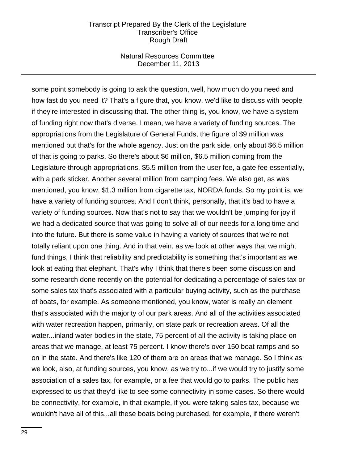### Natural Resources Committee December 11, 2013

some point somebody is going to ask the question, well, how much do you need and how fast do you need it? That's a figure that, you know, we'd like to discuss with people if they're interested in discussing that. The other thing is, you know, we have a system of funding right now that's diverse. I mean, we have a variety of funding sources. The appropriations from the Legislature of General Funds, the figure of \$9 million was mentioned but that's for the whole agency. Just on the park side, only about \$6.5 million of that is going to parks. So there's about \$6 million, \$6.5 million coming from the Legislature through appropriations, \$5.5 million from the user fee, a gate fee essentially, with a park sticker. Another several million from camping fees. We also get, as was mentioned, you know, \$1.3 million from cigarette tax, NORDA funds. So my point is, we have a variety of funding sources. And I don't think, personally, that it's bad to have a variety of funding sources. Now that's not to say that we wouldn't be jumping for joy if we had a dedicated source that was going to solve all of our needs for a long time and into the future. But there is some value in having a variety of sources that we're not totally reliant upon one thing. And in that vein, as we look at other ways that we might fund things, I think that reliability and predictability is something that's important as we look at eating that elephant. That's why I think that there's been some discussion and some research done recently on the potential for dedicating a percentage of sales tax or some sales tax that's associated with a particular buying activity, such as the purchase of boats, for example. As someone mentioned, you know, water is really an element that's associated with the majority of our park areas. And all of the activities associated with water recreation happen, primarily, on state park or recreation areas. Of all the water...inland water bodies in the state, 75 percent of all the activity is taking place on areas that we manage, at least 75 percent. I know there's over 150 boat ramps and so on in the state. And there's like 120 of them are on areas that we manage. So I think as we look, also, at funding sources, you know, as we try to...if we would try to justify some association of a sales tax, for example, or a fee that would go to parks. The public has expressed to us that they'd like to see some connectivity in some cases. So there would be connectivity, for example, in that example, if you were taking sales tax, because we wouldn't have all of this...all these boats being purchased, for example, if there weren't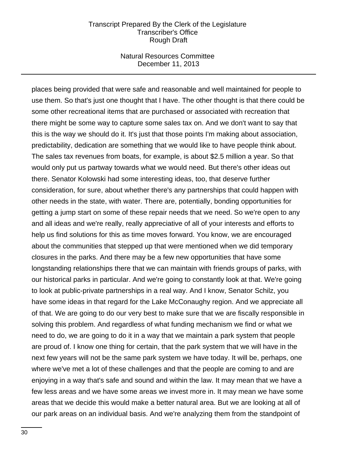#### Natural Resources Committee December 11, 2013

places being provided that were safe and reasonable and well maintained for people to use them. So that's just one thought that I have. The other thought is that there could be some other recreational items that are purchased or associated with recreation that there might be some way to capture some sales tax on. And we don't want to say that this is the way we should do it. It's just that those points I'm making about association, predictability, dedication are something that we would like to have people think about. The sales tax revenues from boats, for example, is about \$2.5 million a year. So that would only put us partway towards what we would need. But there's other ideas out there. Senator Kolowski had some interesting ideas, too, that deserve further consideration, for sure, about whether there's any partnerships that could happen with other needs in the state, with water. There are, potentially, bonding opportunities for getting a jump start on some of these repair needs that we need. So we're open to any and all ideas and we're really, really appreciative of all of your interests and efforts to help us find solutions for this as time moves forward. You know, we are encouraged about the communities that stepped up that were mentioned when we did temporary closures in the parks. And there may be a few new opportunities that have some longstanding relationships there that we can maintain with friends groups of parks, with our historical parks in particular. And we're going to constantly look at that. We're going to look at public-private partnerships in a real way. And I know, Senator Schilz, you have some ideas in that regard for the Lake McConaughy region. And we appreciate all of that. We are going to do our very best to make sure that we are fiscally responsible in solving this problem. And regardless of what funding mechanism we find or what we need to do, we are going to do it in a way that we maintain a park system that people are proud of. I know one thing for certain, that the park system that we will have in the next few years will not be the same park system we have today. It will be, perhaps, one where we've met a lot of these challenges and that the people are coming to and are enjoying in a way that's safe and sound and within the law. It may mean that we have a few less areas and we have some areas we invest more in. It may mean we have some areas that we decide this would make a better natural area. But we are looking at all of our park areas on an individual basis. And we're analyzing them from the standpoint of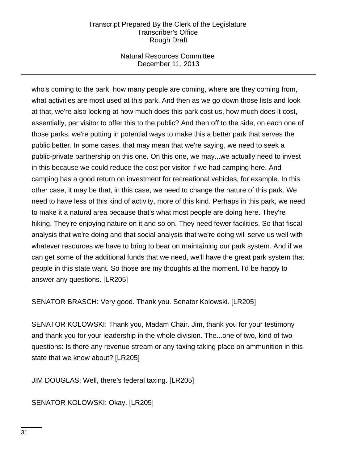## Natural Resources Committee December 11, 2013

who's coming to the park, how many people are coming, where are they coming from, what activities are most used at this park. And then as we go down those lists and look at that, we're also looking at how much does this park cost us, how much does it cost, essentially, per visitor to offer this to the public? And then off to the side, on each one of those parks, we're putting in potential ways to make this a better park that serves the public better. In some cases, that may mean that we're saying, we need to seek a public-private partnership on this one. On this one, we may...we actually need to invest in this because we could reduce the cost per visitor if we had camping here. And camping has a good return on investment for recreational vehicles, for example. In this other case, it may be that, in this case, we need to change the nature of this park. We need to have less of this kind of activity, more of this kind. Perhaps in this park, we need to make it a natural area because that's what most people are doing here. They're hiking. They're enjoying nature on it and so on. They need fewer facilities. So that fiscal analysis that we're doing and that social analysis that we're doing will serve us well with whatever resources we have to bring to bear on maintaining our park system. And if we can get some of the additional funds that we need, we'll have the great park system that people in this state want. So those are my thoughts at the moment. I'd be happy to answer any questions. [LR205]

SENATOR BRASCH: Very good. Thank you. Senator Kolowski. [LR205]

SENATOR KOLOWSKI: Thank you, Madam Chair. Jim, thank you for your testimony and thank you for your leadership in the whole division. The...one of two, kind of two questions: Is there any revenue stream or any taxing taking place on ammunition in this state that we know about? [LR205]

JIM DOUGLAS: Well, there's federal taxing. [LR205]

SENATOR KOLOWSKI: Okay. [LR205]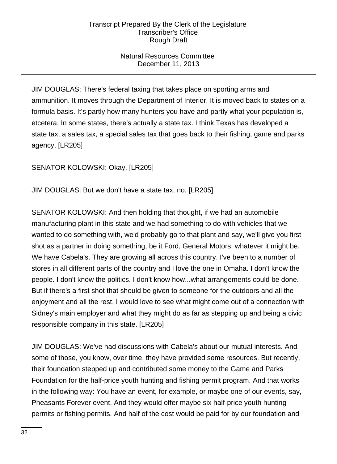# Natural Resources Committee December 11, 2013

JIM DOUGLAS: There's federal taxing that takes place on sporting arms and ammunition. It moves through the Department of Interior. It is moved back to states on a formula basis. It's partly how many hunters you have and partly what your population is, etcetera. In some states, there's actually a state tax. I think Texas has developed a state tax, a sales tax, a special sales tax that goes back to their fishing, game and parks agency. [LR205]

SENATOR KOLOWSKI: Okay. [LR205]

JIM DOUGLAS: But we don't have a state tax, no. [LR205]

SENATOR KOLOWSKI: And then holding that thought, if we had an automobile manufacturing plant in this state and we had something to do with vehicles that we wanted to do something with, we'd probably go to that plant and say, we'll give you first shot as a partner in doing something, be it Ford, General Motors, whatever it might be. We have Cabela's. They are growing all across this country. I've been to a number of stores in all different parts of the country and I love the one in Omaha. I don't know the people. I don't know the politics. I don't know how...what arrangements could be done. But if there's a first shot that should be given to someone for the outdoors and all the enjoyment and all the rest, I would love to see what might come out of a connection with Sidney's main employer and what they might do as far as stepping up and being a civic responsible company in this state. [LR205]

JIM DOUGLAS: We've had discussions with Cabela's about our mutual interests. And some of those, you know, over time, they have provided some resources. But recently, their foundation stepped up and contributed some money to the Game and Parks Foundation for the half-price youth hunting and fishing permit program. And that works in the following way: You have an event, for example, or maybe one of our events, say, Pheasants Forever event. And they would offer maybe six half-price youth hunting permits or fishing permits. And half of the cost would be paid for by our foundation and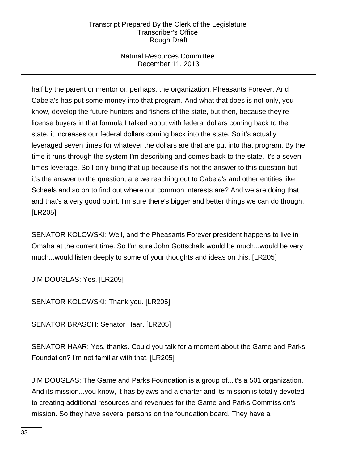# Natural Resources Committee December 11, 2013

half by the parent or mentor or, perhaps, the organization, Pheasants Forever. And Cabela's has put some money into that program. And what that does is not only, you know, develop the future hunters and fishers of the state, but then, because they're license buyers in that formula I talked about with federal dollars coming back to the state, it increases our federal dollars coming back into the state. So it's actually leveraged seven times for whatever the dollars are that are put into that program. By the time it runs through the system I'm describing and comes back to the state, it's a seven times leverage. So I only bring that up because it's not the answer to this question but it's the answer to the question, are we reaching out to Cabela's and other entities like Scheels and so on to find out where our common interests are? And we are doing that and that's a very good point. I'm sure there's bigger and better things we can do though. [LR205]

SENATOR KOLOWSKI: Well, and the Pheasants Forever president happens to live in Omaha at the current time. So I'm sure John Gottschalk would be much...would be very much...would listen deeply to some of your thoughts and ideas on this. [LR205]

JIM DOUGLAS: Yes. [LR205]

SENATOR KOLOWSKI: Thank you. [LR205]

SENATOR BRASCH: Senator Haar. [LR205]

SENATOR HAAR: Yes, thanks. Could you talk for a moment about the Game and Parks Foundation? I'm not familiar with that. [LR205]

JIM DOUGLAS: The Game and Parks Foundation is a group of...it's a 501 organization. And its mission...you know, it has bylaws and a charter and its mission is totally devoted to creating additional resources and revenues for the Game and Parks Commission's mission. So they have several persons on the foundation board. They have a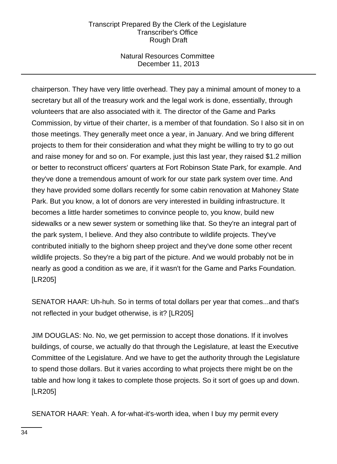## Natural Resources Committee December 11, 2013

chairperson. They have very little overhead. They pay a minimal amount of money to a secretary but all of the treasury work and the legal work is done, essentially, through volunteers that are also associated with it. The director of the Game and Parks Commission, by virtue of their charter, is a member of that foundation. So I also sit in on those meetings. They generally meet once a year, in January. And we bring different projects to them for their consideration and what they might be willing to try to go out and raise money for and so on. For example, just this last year, they raised \$1.2 million or better to reconstruct officers' quarters at Fort Robinson State Park, for example. And they've done a tremendous amount of work for our state park system over time. And they have provided some dollars recently for some cabin renovation at Mahoney State Park. But you know, a lot of donors are very interested in building infrastructure. It becomes a little harder sometimes to convince people to, you know, build new sidewalks or a new sewer system or something like that. So they're an integral part of the park system, I believe. And they also contribute to wildlife projects. They've contributed initially to the bighorn sheep project and they've done some other recent wildlife projects. So they're a big part of the picture. And we would probably not be in nearly as good a condition as we are, if it wasn't for the Game and Parks Foundation. [LR205]

SENATOR HAAR: Uh-huh. So in terms of total dollars per year that comes...and that's not reflected in your budget otherwise, is it? [LR205]

JIM DOUGLAS: No. No, we get permission to accept those donations. If it involves buildings, of course, we actually do that through the Legislature, at least the Executive Committee of the Legislature. And we have to get the authority through the Legislature to spend those dollars. But it varies according to what projects there might be on the table and how long it takes to complete those projects. So it sort of goes up and down. [LR205]

SENATOR HAAR: Yeah. A for-what-it's-worth idea, when I buy my permit every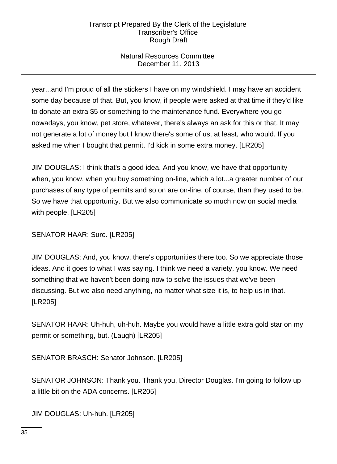# Natural Resources Committee December 11, 2013

year...and I'm proud of all the stickers I have on my windshield. I may have an accident some day because of that. But, you know, if people were asked at that time if they'd like to donate an extra \$5 or something to the maintenance fund. Everywhere you go nowadays, you know, pet store, whatever, there's always an ask for this or that. It may not generate a lot of money but I know there's some of us, at least, who would. If you asked me when I bought that permit, I'd kick in some extra money. [LR205]

JIM DOUGLAS: I think that's a good idea. And you know, we have that opportunity when, you know, when you buy something on-line, which a lot...a greater number of our purchases of any type of permits and so on are on-line, of course, than they used to be. So we have that opportunity. But we also communicate so much now on social media with people. [LR205]

SENATOR HAAR: Sure. [LR205]

JIM DOUGLAS: And, you know, there's opportunities there too. So we appreciate those ideas. And it goes to what I was saying. I think we need a variety, you know. We need something that we haven't been doing now to solve the issues that we've been discussing. But we also need anything, no matter what size it is, to help us in that. [LR205]

SENATOR HAAR: Uh-huh, uh-huh. Maybe you would have a little extra gold star on my permit or something, but. (Laugh) [LR205]

SENATOR BRASCH: Senator Johnson. [LR205]

SENATOR JOHNSON: Thank you. Thank you, Director Douglas. I'm going to follow up a little bit on the ADA concerns. [LR205]

JIM DOUGLAS: Uh-huh. [LR205]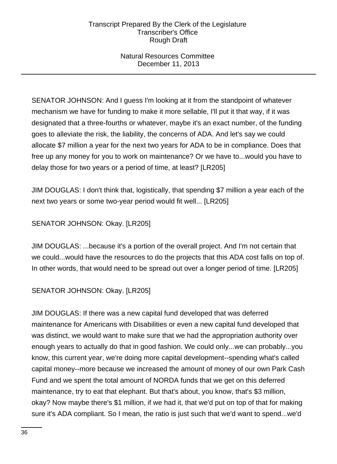## Natural Resources Committee December 11, 2013

SENATOR JOHNSON: And I guess I'm looking at it from the standpoint of whatever mechanism we have for funding to make it more sellable, I'll put it that way, if it was designated that a three-fourths or whatever, maybe it's an exact number, of the funding goes to alleviate the risk, the liability, the concerns of ADA. And let's say we could allocate \$7 million a year for the next two years for ADA to be in compliance. Does that free up any money for you to work on maintenance? Or we have to...would you have to delay those for two years or a period of time, at least? [LR205]

JIM DOUGLAS: I don't think that, logistically, that spending \$7 million a year each of the next two years or some two-year period would fit well... [LR205]

# SENATOR JOHNSON: Okay. [LR205]

JIM DOUGLAS: ...because it's a portion of the overall project. And I'm not certain that we could...would have the resources to do the projects that this ADA cost falls on top of. In other words, that would need to be spread out over a longer period of time. [LR205]

# SENATOR JOHNSON: Okay. [LR205]

JIM DOUGLAS: If there was a new capital fund developed that was deferred maintenance for Americans with Disabilities or even a new capital fund developed that was distinct, we would want to make sure that we had the appropriation authority over enough years to actually do that in good fashion. We could only...we can probably...you know, this current year, we're doing more capital development--spending what's called capital money--more because we increased the amount of money of our own Park Cash Fund and we spent the total amount of NORDA funds that we get on this deferred maintenance, try to eat that elephant. But that's about, you know, that's \$3 million, okay? Now maybe there's \$1 million, if we had it, that we'd put on top of that for making sure it's ADA compliant. So I mean, the ratio is just such that we'd want to spend...we'd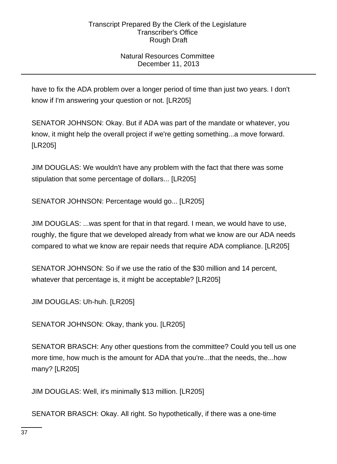# Natural Resources Committee December 11, 2013

have to fix the ADA problem over a longer period of time than just two years. I don't know if I'm answering your question or not. [LR205]

SENATOR JOHNSON: Okay. But if ADA was part of the mandate or whatever, you know, it might help the overall project if we're getting something...a move forward. [LR205]

JIM DOUGLAS: We wouldn't have any problem with the fact that there was some stipulation that some percentage of dollars... [LR205]

SENATOR JOHNSON: Percentage would go... [LR205]

JIM DOUGLAS: ...was spent for that in that regard. I mean, we would have to use, roughly, the figure that we developed already from what we know are our ADA needs compared to what we know are repair needs that require ADA compliance. [LR205]

SENATOR JOHNSON: So if we use the ratio of the \$30 million and 14 percent, whatever that percentage is, it might be acceptable? [LR205]

JIM DOUGLAS: Uh-huh. [LR205]

SENATOR JOHNSON: Okay, thank you. [LR205]

SENATOR BRASCH: Any other questions from the committee? Could you tell us one more time, how much is the amount for ADA that you're...that the needs, the...how many? [LR205]

JIM DOUGLAS: Well, it's minimally \$13 million. [LR205]

SENATOR BRASCH: Okay. All right. So hypothetically, if there was a one-time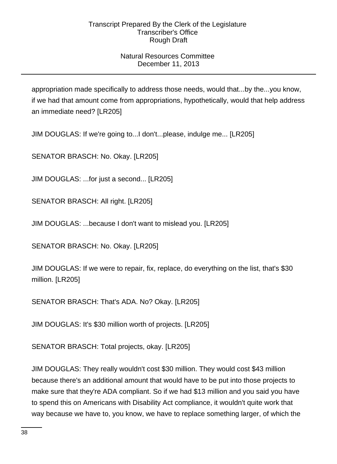# Natural Resources Committee December 11, 2013

appropriation made specifically to address those needs, would that...by the...you know, if we had that amount come from appropriations, hypothetically, would that help address an immediate need? [LR205]

JIM DOUGLAS: If we're going to...I don't...please, indulge me... [LR205]

SENATOR BRASCH: No. Okay. [LR205]

JIM DOUGLAS: ...for just a second... [LR205]

SENATOR BRASCH: All right. [LR205]

JIM DOUGLAS: ...because I don't want to mislead you. [LR205]

SENATOR BRASCH: No. Okay. [LR205]

JIM DOUGLAS: If we were to repair, fix, replace, do everything on the list, that's \$30 million. [LR205]

SENATOR BRASCH: That's ADA. No? Okay. [LR205]

JIM DOUGLAS: It's \$30 million worth of projects. [LR205]

SENATOR BRASCH: Total projects, okay. [LR205]

JIM DOUGLAS: They really wouldn't cost \$30 million. They would cost \$43 million because there's an additional amount that would have to be put into those projects to make sure that they're ADA compliant. So if we had \$13 million and you said you have to spend this on Americans with Disability Act compliance, it wouldn't quite work that way because we have to, you know, we have to replace something larger, of which the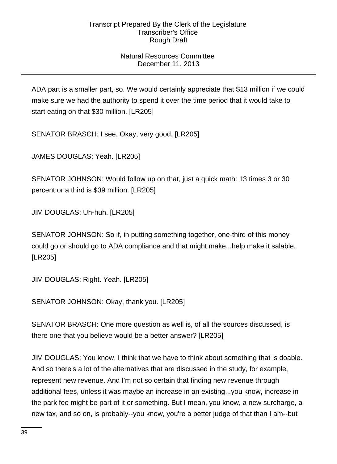# Natural Resources Committee December 11, 2013

ADA part is a smaller part, so. We would certainly appreciate that \$13 million if we could make sure we had the authority to spend it over the time period that it would take to start eating on that \$30 million. [LR205]

SENATOR BRASCH: I see. Okay, very good. [LR205]

JAMES DOUGLAS: Yeah. [LR205]

SENATOR JOHNSON: Would follow up on that, just a quick math: 13 times 3 or 30 percent or a third is \$39 million. [LR205]

JIM DOUGLAS: Uh-huh. [LR205]

SENATOR JOHNSON: So if, in putting something together, one-third of this money could go or should go to ADA compliance and that might make...help make it salable. [LR205]

JIM DOUGLAS: Right. Yeah. [LR205]

SENATOR JOHNSON: Okay, thank you. [LR205]

SENATOR BRASCH: One more question as well is, of all the sources discussed, is there one that you believe would be a better answer? [LR205]

JIM DOUGLAS: You know, I think that we have to think about something that is doable. And so there's a lot of the alternatives that are discussed in the study, for example, represent new revenue. And I'm not so certain that finding new revenue through additional fees, unless it was maybe an increase in an existing...you know, increase in the park fee might be part of it or something. But I mean, you know, a new surcharge, a new tax, and so on, is probably--you know, you're a better judge of that than I am--but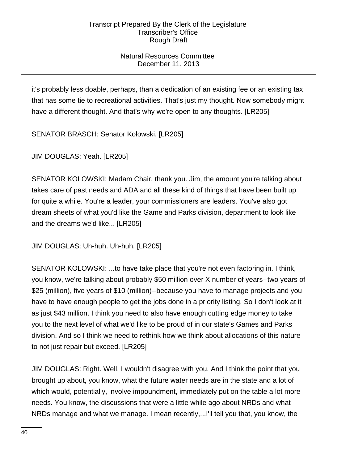# Natural Resources Committee December 11, 2013

it's probably less doable, perhaps, than a dedication of an existing fee or an existing tax that has some tie to recreational activities. That's just my thought. Now somebody might have a different thought. And that's why we're open to any thoughts. [LR205]

SENATOR BRASCH: Senator Kolowski. [LR205]

JIM DOUGLAS: Yeah. [LR205]

SENATOR KOLOWSKI: Madam Chair, thank you. Jim, the amount you're talking about takes care of past needs and ADA and all these kind of things that have been built up for quite a while. You're a leader, your commissioners are leaders. You've also got dream sheets of what you'd like the Game and Parks division, department to look like and the dreams we'd like... [LR205]

JIM DOUGLAS: Uh-huh. Uh-huh. [LR205]

SENATOR KOLOWSKI: ...to have take place that you're not even factoring in. I think, you know, we're talking about probably \$50 million over X number of years--two years of \$25 (million), five years of \$10 (million)--because you have to manage projects and you have to have enough people to get the jobs done in a priority listing. So I don't look at it as just \$43 million. I think you need to also have enough cutting edge money to take you to the next level of what we'd like to be proud of in our state's Games and Parks division. And so I think we need to rethink how we think about allocations of this nature to not just repair but exceed. [LR205]

JIM DOUGLAS: Right. Well, I wouldn't disagree with you. And I think the point that you brought up about, you know, what the future water needs are in the state and a lot of which would, potentially, involve impoundment, immediately put on the table a lot more needs. You know, the discussions that were a little while ago about NRDs and what NRDs manage and what we manage. I mean recently,...I'll tell you that, you know, the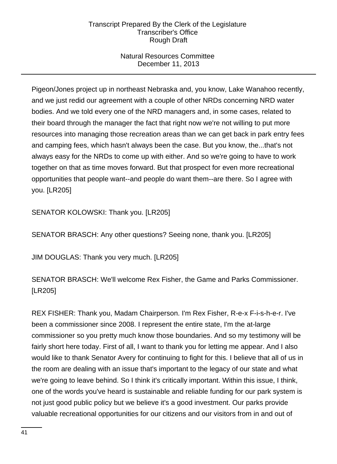# Natural Resources Committee December 11, 2013

Pigeon/Jones project up in northeast Nebraska and, you know, Lake Wanahoo recently, and we just redid our agreement with a couple of other NRDs concerning NRD water bodies. And we told every one of the NRD managers and, in some cases, related to their board through the manager the fact that right now we're not willing to put more resources into managing those recreation areas than we can get back in park entry fees and camping fees, which hasn't always been the case. But you know, the...that's not always easy for the NRDs to come up with either. And so we're going to have to work together on that as time moves forward. But that prospect for even more recreational opportunities that people want--and people do want them--are there. So I agree with you. [LR205]

SENATOR KOLOWSKI: Thank you. [LR205]

SENATOR BRASCH: Any other questions? Seeing none, thank you. [LR205]

JIM DOUGLAS: Thank you very much. [LR205]

SENATOR BRASCH: We'll welcome Rex Fisher, the Game and Parks Commissioner. [LR205]

REX FISHER: Thank you, Madam Chairperson. I'm Rex Fisher, R-e-x F-i-s-h-e-r. I've been a commissioner since 2008. I represent the entire state, I'm the at-large commissioner so you pretty much know those boundaries. And so my testimony will be fairly short here today. First of all, I want to thank you for letting me appear. And I also would like to thank Senator Avery for continuing to fight for this. I believe that all of us in the room are dealing with an issue that's important to the legacy of our state and what we're going to leave behind. So I think it's critically important. Within this issue, I think, one of the words you've heard is sustainable and reliable funding for our park system is not just good public policy but we believe it's a good investment. Our parks provide valuable recreational opportunities for our citizens and our visitors from in and out of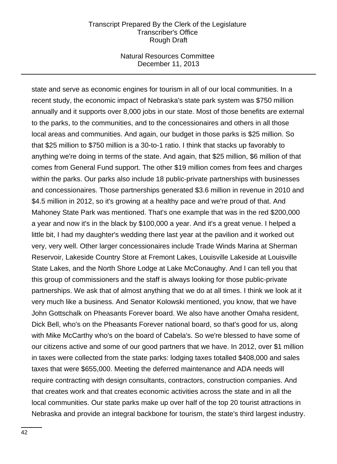### Natural Resources Committee December 11, 2013

state and serve as economic engines for tourism in all of our local communities. In a recent study, the economic impact of Nebraska's state park system was \$750 million annually and it supports over 8,000 jobs in our state. Most of those benefits are external to the parks, to the communities, and to the concessionaires and others in all those local areas and communities. And again, our budget in those parks is \$25 million. So that \$25 million to \$750 million is a 30-to-1 ratio. I think that stacks up favorably to anything we're doing in terms of the state. And again, that \$25 million, \$6 million of that comes from General Fund support. The other \$19 million comes from fees and charges within the parks. Our parks also include 18 public-private partnerships with businesses and concessionaires. Those partnerships generated \$3.6 million in revenue in 2010 and \$4.5 million in 2012, so it's growing at a healthy pace and we're proud of that. And Mahoney State Park was mentioned. That's one example that was in the red \$200,000 a year and now it's in the black by \$100,000 a year. And it's a great venue. I helped a little bit, I had my daughter's wedding there last year at the pavilion and it worked out very, very well. Other larger concessionaires include Trade Winds Marina at Sherman Reservoir, Lakeside Country Store at Fremont Lakes, Louisville Lakeside at Louisville State Lakes, and the North Shore Lodge at Lake McConaughy. And I can tell you that this group of commissioners and the staff is always looking for those public-private partnerships. We ask that of almost anything that we do at all times. I think we look at it very much like a business. And Senator Kolowski mentioned, you know, that we have John Gottschalk on Pheasants Forever board. We also have another Omaha resident, Dick Bell, who's on the Pheasants Forever national board, so that's good for us, along with Mike McCarthy who's on the board of Cabela's. So we're blessed to have some of our citizens active and some of our good partners that we have. In 2012, over \$1 million in taxes were collected from the state parks: lodging taxes totalled \$408,000 and sales taxes that were \$655,000. Meeting the deferred maintenance and ADA needs will require contracting with design consultants, contractors, construction companies. And that creates work and that creates economic activities across the state and in all the local communities. Our state parks make up over half of the top 20 tourist attractions in Nebraska and provide an integral backbone for tourism, the state's third largest industry.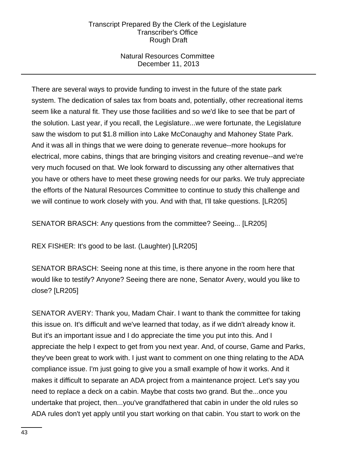## Natural Resources Committee December 11, 2013

There are several ways to provide funding to invest in the future of the state park system. The dedication of sales tax from boats and, potentially, other recreational items seem like a natural fit. They use those facilities and so we'd like to see that be part of the solution. Last year, if you recall, the Legislature...we were fortunate, the Legislature saw the wisdom to put \$1.8 million into Lake McConaughy and Mahoney State Park. And it was all in things that we were doing to generate revenue--more hookups for electrical, more cabins, things that are bringing visitors and creating revenue--and we're very much focused on that. We look forward to discussing any other alternatives that you have or others have to meet these growing needs for our parks. We truly appreciate the efforts of the Natural Resources Committee to continue to study this challenge and we will continue to work closely with you. And with that, I'll take questions. [LR205]

SENATOR BRASCH: Any questions from the committee? Seeing... [LR205]

REX FISHER: It's good to be last. (Laughter) [LR205]

SENATOR BRASCH: Seeing none at this time, is there anyone in the room here that would like to testify? Anyone? Seeing there are none, Senator Avery, would you like to close? [LR205]

SENATOR AVERY: Thank you, Madam Chair. I want to thank the committee for taking this issue on. It's difficult and we've learned that today, as if we didn't already know it. But it's an important issue and I do appreciate the time you put into this. And I appreciate the help I expect to get from you next year. And, of course, Game and Parks, they've been great to work with. I just want to comment on one thing relating to the ADA compliance issue. I'm just going to give you a small example of how it works. And it makes it difficult to separate an ADA project from a maintenance project. Let's say you need to replace a deck on a cabin. Maybe that costs two grand. But the...once you undertake that project, then...you've grandfathered that cabin in under the old rules so ADA rules don't yet apply until you start working on that cabin. You start to work on the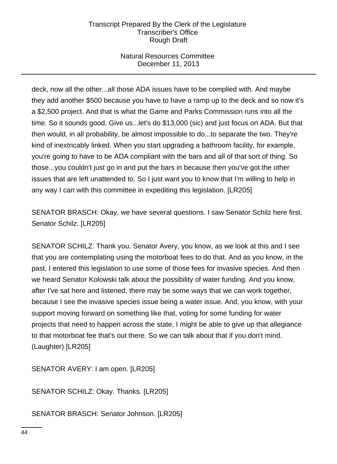# Natural Resources Committee December 11, 2013

deck, now all the other...all those ADA issues have to be complied with. And maybe they add another \$500 because you have to have a ramp up to the deck and so now it's a \$2,500 project. And that is what the Game and Parks Commission runs into all the time. So it sounds good. Give us...let's do \$13,000 (sic) and just focus on ADA. But that then would, in all probability, be almost impossible to do...to separate the two. They're kind of inextricably linked. When you start upgrading a bathroom facility, for example, you're going to have to be ADA compliant with the bars and all of that sort of thing. So those...you couldn't just go in and put the bars in because then you've got the other issues that are left unattended to. So I just want you to know that I'm willing to help in any way I can with this committee in expediting this legislation. [LR205]

SENATOR BRASCH: Okay, we have several questions. I saw Senator Schilz here first. Senator Schilz. [LR205]

SENATOR SCHILZ: Thank you. Senator Avery, you know, as we look at this and I see that you are contemplating using the motorboat fees to do that. And as you know, in the past, I entered this legislation to use some of those fees for invasive species. And then we heard Senator Kolowski talk about the possibility of water funding. And you know, after I've sat here and listened, there may be some ways that we can work together, because I see the invasive species issue being a water issue. And, you know, with your support moving forward on something like that, voting for some funding for water projects that need to happen across the state, I might be able to give up that allegiance to that motorboat fee that's out there. So we can talk about that if you don't mind. (Laughter) [LR205]

SENATOR AVERY: I am open. [LR205]

SENATOR SCHILZ: Okay. Thanks. [LR205]

SENATOR BRASCH: Senator Johnson. [LR205]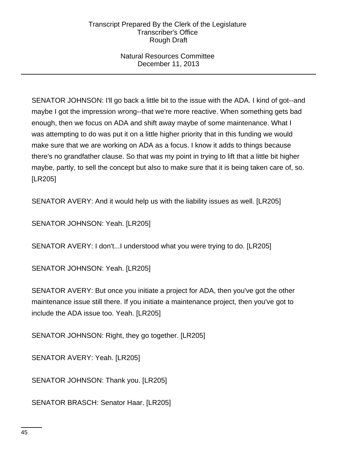## Natural Resources Committee December 11, 2013

SENATOR JOHNSON: I'll go back a little bit to the issue with the ADA. I kind of got--and maybe I got the impression wrong--that we're more reactive. When something gets bad enough, then we focus on ADA and shift away maybe of some maintenance. What I was attempting to do was put it on a little higher priority that in this funding we would make sure that we are working on ADA as a focus. I know it adds to things because there's no grandfather clause. So that was my point in trying to lift that a little bit higher maybe, partly, to sell the concept but also to make sure that it is being taken care of, so. [LR205]

SENATOR AVERY: And it would help us with the liability issues as well. [LR205]

SENATOR JOHNSON: Yeah. [LR205]

SENATOR AVERY: I don't...I understood what you were trying to do. [LR205]

SENATOR JOHNSON: Yeah. [LR205]

SENATOR AVERY: But once you initiate a project for ADA, then you've got the other maintenance issue still there. If you initiate a maintenance project, then you've got to include the ADA issue too. Yeah. [LR205]

SENATOR JOHNSON: Right, they go together. [LR205]

SENATOR AVERY: Yeah. [LR205]

SENATOR JOHNSON: Thank you. [LR205]

SENATOR BRASCH: Senator Haar. [LR205]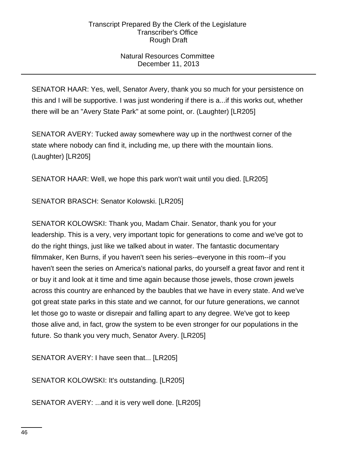# Natural Resources Committee December 11, 2013

SENATOR HAAR: Yes, well, Senator Avery, thank you so much for your persistence on this and I will be supportive. I was just wondering if there is a...if this works out, whether there will be an "Avery State Park" at some point, or. (Laughter) [LR205]

SENATOR AVERY: Tucked away somewhere way up in the northwest corner of the state where nobody can find it, including me, up there with the mountain lions. (Laughter) [LR205]

SENATOR HAAR: Well, we hope this park won't wait until you died. [LR205]

SENATOR BRASCH: Senator Kolowski. [LR205]

SENATOR KOLOWSKI: Thank you, Madam Chair. Senator, thank you for your leadership. This is a very, very important topic for generations to come and we've got to do the right things, just like we talked about in water. The fantastic documentary filmmaker, Ken Burns, if you haven't seen his series--everyone in this room--if you haven't seen the series on America's national parks, do yourself a great favor and rent it or buy it and look at it time and time again because those jewels, those crown jewels across this country are enhanced by the baubles that we have in every state. And we've got great state parks in this state and we cannot, for our future generations, we cannot let those go to waste or disrepair and falling apart to any degree. We've got to keep those alive and, in fact, grow the system to be even stronger for our populations in the future. So thank you very much, Senator Avery. [LR205]

SENATOR AVERY: I have seen that... [LR205]

SENATOR KOLOWSKI: It's outstanding. [LR205]

SENATOR AVERY: ...and it is very well done. [LR205]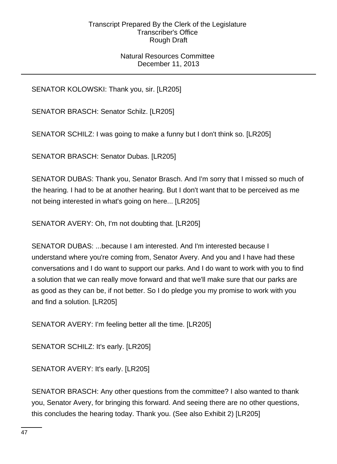## Natural Resources Committee December 11, 2013

SENATOR KOLOWSKI: Thank you, sir. [LR205]

SENATOR BRASCH: Senator Schilz. [LR205]

SENATOR SCHILZ: I was going to make a funny but I don't think so. [LR205]

SENATOR BRASCH: Senator Dubas. [LR205]

SENATOR DUBAS: Thank you, Senator Brasch. And I'm sorry that I missed so much of the hearing. I had to be at another hearing. But I don't want that to be perceived as me not being interested in what's going on here... [LR205]

SENATOR AVERY: Oh, I'm not doubting that. [LR205]

SENATOR DUBAS: ...because I am interested. And I'm interested because I understand where you're coming from, Senator Avery. And you and I have had these conversations and I do want to support our parks. And I do want to work with you to find a solution that we can really move forward and that we'll make sure that our parks are as good as they can be, if not better. So I do pledge you my promise to work with you and find a solution. [LR205]

SENATOR AVERY: I'm feeling better all the time. [LR205]

SENATOR SCHILZ: It's early. [LR205]

SENATOR AVERY: It's early. [LR205]

SENATOR BRASCH: Any other questions from the committee? I also wanted to thank you, Senator Avery, for bringing this forward. And seeing there are no other questions, this concludes the hearing today. Thank you. (See also Exhibit 2) [LR205]